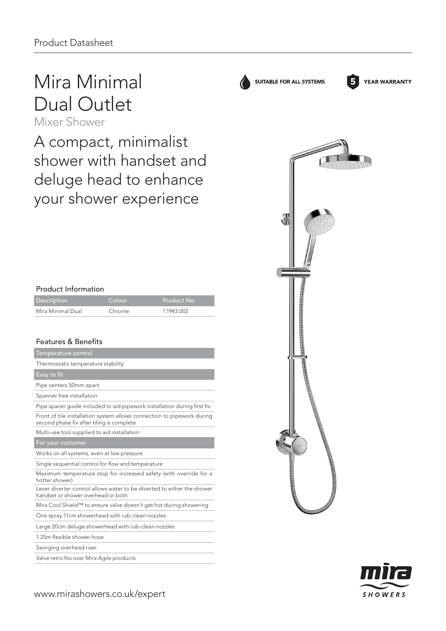## Mira Minimal Dual Outlet

Mixer Shower

A compact, minimalist shower with handset and deluge head to enhance your shower experience

| <b>Product Information</b> |  |  |
|----------------------------|--|--|
|----------------------------|--|--|

| Description       | Colour | Product No. |
|-------------------|--------|-------------|
| Mira Minimal Dual | Chrome | 1 1943 002  |

## Features & Benefits

| Temperature control                                                                                                 |
|---------------------------------------------------------------------------------------------------------------------|
| Thermostatic temperature stability                                                                                  |
| Easy to fit                                                                                                         |
| Pipe centers 50mm apart                                                                                             |
| Spanner free installation                                                                                           |
| Pipe spacer quide included to aid pipework installation during first fix                                            |
| Front of tile installation system allows connection to pipework during<br>second phase fix after tiling is complete |
| Multi-use tool supplied to aid installation                                                                         |
| For your customer                                                                                                   |
| Works on all systems, even at low pressure                                                                          |
| Single sequential control for flow and temperature                                                                  |
| Maximum temperature stop for increased safety (with override for a<br>hotter shower)                                |
| Lever diverter control allows water to be diverted to either the shower<br>handset or shower overhead or both       |
| Mira Cool Shield™ to ensure valve doesn't get hot during showering                                                  |
| One spray 11cm showerhead with rub-clean nozzles                                                                    |
| Large 20cm deluge showerhead with rub-clean nozzles                                                                 |
| 1.25m flexible shower hose                                                                                          |
|                                                                                                                     |

Swinging overhead riser

Valve retro fits over Mira Agile products



**5**

**YEAR WARRANTY** 

SUITABLE FOR ALL SYSTEMS